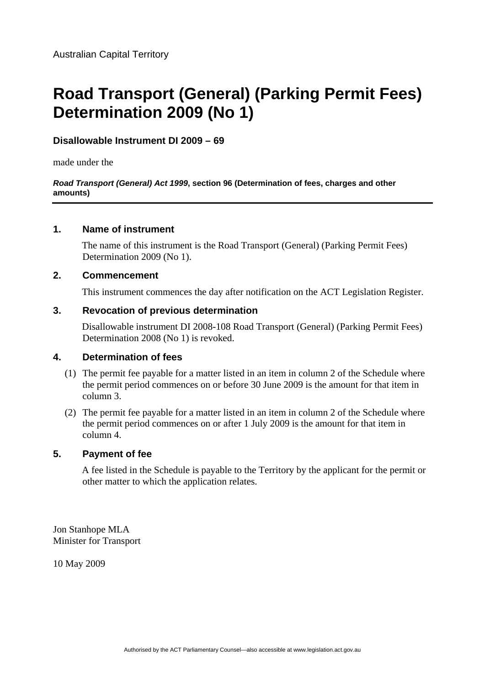# **Road Transport (General) (Parking Permit Fees) Determination 2009 (No 1)**

## **Disallowable Instrument DI 2009 – 69**

made under the

#### *Road Transport (General) Act 1999***, section 96 (Determination of fees, charges and other amounts)**

## **1. Name of instrument**

The name of this instrument is the Road Transport (General) (Parking Permit Fees) Determination 2009 (No 1).

## **2. Commencement**

This instrument commences the day after notification on the ACT Legislation Register.

## **3. Revocation of previous determination**

Disallowable instrument DI 2008-108 Road Transport (General) (Parking Permit Fees) Determination 2008 (No 1) is revoked.

## **4. Determination of fees**

- (1) The permit fee payable for a matter listed in an item in column 2 of the Schedule where the permit period commences on or before 30 June 2009 is the amount for that item in column 3.
- (2) The permit fee payable for a matter listed in an item in column 2 of the Schedule where the permit period commences on or after 1 July 2009 is the amount for that item in column 4.

## **5. Payment of fee**

A fee listed in the Schedule is payable to the Territory by the applicant for the permit or other matter to which the application relates.

Jon Stanhope MLA Minister for Transport

10 May 2009